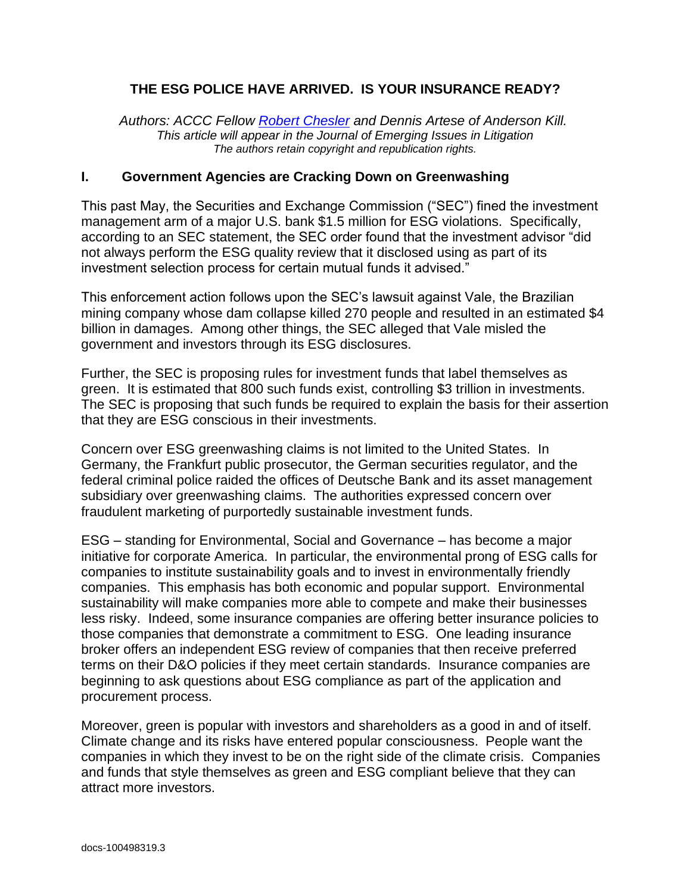#### **THE ESG POLICE HAVE ARRIVED. IS YOUR INSURANCE READY?**

*Authors: ACCC Fellow [Robert Chesler](https://www.americancollegecoverage.org/index.php?option=com_community&view=profile&userid=1000889762&uuid=c1dd49f7-1982-4ff9-b417-15a084bf5801¤t_page=1&directory_search_id=10250) and Dennis Artese of Anderson Kill. This article will appear in the Journal of Emerging Issues in Litigation The authors retain copyright and republication rights.*

#### **I. Government Agencies are Cracking Down on Greenwashing**

This past May, the Securities and Exchange Commission ("SEC") fined the investment management arm of a major U.S. bank \$1.5 million for ESG violations. Specifically, according to an SEC statement, the SEC order found that the investment advisor "did not always perform the ESG quality review that it disclosed using as part of its investment selection process for certain mutual funds it advised."

This enforcement action follows upon the SEC's lawsuit against Vale, the Brazilian mining company whose dam collapse killed 270 people and resulted in an estimated \$4 billion in damages. Among other things, the SEC alleged that Vale misled the government and investors through its ESG disclosures.

Further, the SEC is proposing rules for investment funds that label themselves as green. It is estimated that 800 such funds exist, controlling \$3 trillion in investments. The SEC is proposing that such funds be required to explain the basis for their assertion that they are ESG conscious in their investments.

Concern over ESG greenwashing claims is not limited to the United States. In Germany, the Frankfurt public prosecutor, the German securities regulator, and the federal criminal police raided the offices of Deutsche Bank and its asset management subsidiary over greenwashing claims. The authorities expressed concern over fraudulent marketing of purportedly sustainable investment funds.

ESG – standing for Environmental, Social and Governance – has become a major initiative for corporate America. In particular, the environmental prong of ESG calls for companies to institute sustainability goals and to invest in environmentally friendly companies. This emphasis has both economic and popular support. Environmental sustainability will make companies more able to compete and make their businesses less risky. Indeed, some insurance companies are offering better insurance policies to those companies that demonstrate a commitment to ESG. One leading insurance broker offers an independent ESG review of companies that then receive preferred terms on their D&O policies if they meet certain standards. Insurance companies are beginning to ask questions about ESG compliance as part of the application and procurement process.

Moreover, green is popular with investors and shareholders as a good in and of itself. Climate change and its risks have entered popular consciousness. People want the companies in which they invest to be on the right side of the climate crisis. Companies and funds that style themselves as green and ESG compliant believe that they can attract more investors.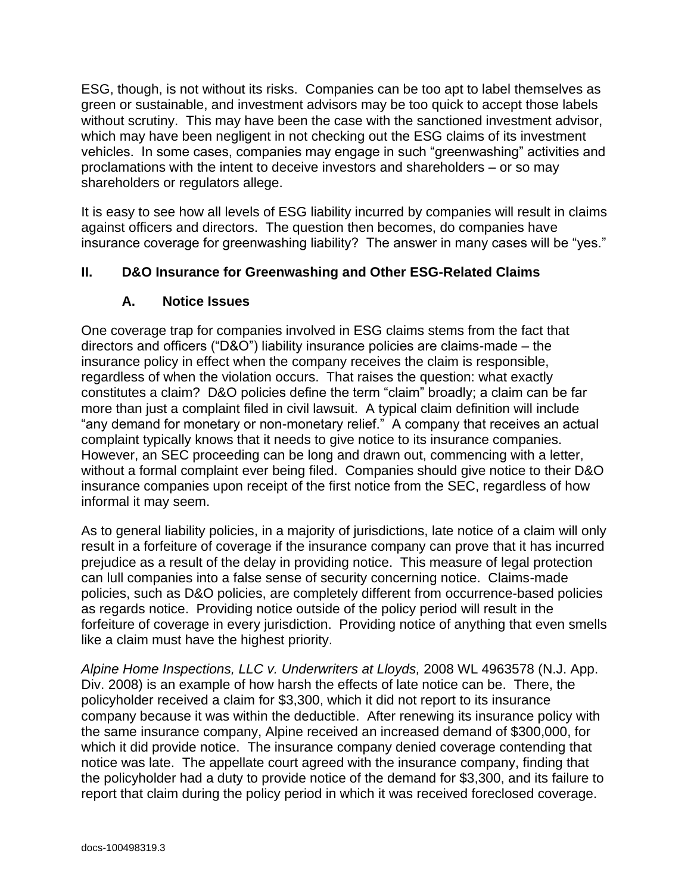ESG, though, is not without its risks. Companies can be too apt to label themselves as green or sustainable, and investment advisors may be too quick to accept those labels without scrutiny. This may have been the case with the sanctioned investment advisor, which may have been negligent in not checking out the ESG claims of its investment vehicles. In some cases, companies may engage in such "greenwashing" activities and proclamations with the intent to deceive investors and shareholders – or so may shareholders or regulators allege.

It is easy to see how all levels of ESG liability incurred by companies will result in claims against officers and directors. The question then becomes, do companies have insurance coverage for greenwashing liability? The answer in many cases will be "yes."

## **II. D&O Insurance for Greenwashing and Other ESG-Related Claims**

### **A. Notice Issues**

One coverage trap for companies involved in ESG claims stems from the fact that directors and officers ("D&O") liability insurance policies are claims-made – the insurance policy in effect when the company receives the claim is responsible, regardless of when the violation occurs. That raises the question: what exactly constitutes a claim? D&O policies define the term "claim" broadly; a claim can be far more than just a complaint filed in civil lawsuit. A typical claim definition will include "any demand for monetary or non-monetary relief." A company that receives an actual complaint typically knows that it needs to give notice to its insurance companies. However, an SEC proceeding can be long and drawn out, commencing with a letter, without a formal complaint ever being filed. Companies should give notice to their D&O insurance companies upon receipt of the first notice from the SEC, regardless of how informal it may seem.

As to general liability policies, in a majority of jurisdictions, late notice of a claim will only result in a forfeiture of coverage if the insurance company can prove that it has incurred prejudice as a result of the delay in providing notice. This measure of legal protection can lull companies into a false sense of security concerning notice. Claims-made policies, such as D&O policies, are completely different from occurrence-based policies as regards notice. Providing notice outside of the policy period will result in the forfeiture of coverage in every jurisdiction. Providing notice of anything that even smells like a claim must have the highest priority.

*Alpine Home Inspections, LLC v. Underwriters at Lloyds,* 2008 WL 4963578 (N.J. App. Div. 2008) is an example of how harsh the effects of late notice can be. There, the policyholder received a claim for \$3,300, which it did not report to its insurance company because it was within the deductible. After renewing its insurance policy with the same insurance company, Alpine received an increased demand of \$300,000, for which it did provide notice. The insurance company denied coverage contending that notice was late. The appellate court agreed with the insurance company, finding that the policyholder had a duty to provide notice of the demand for \$3,300, and its failure to report that claim during the policy period in which it was received foreclosed coverage.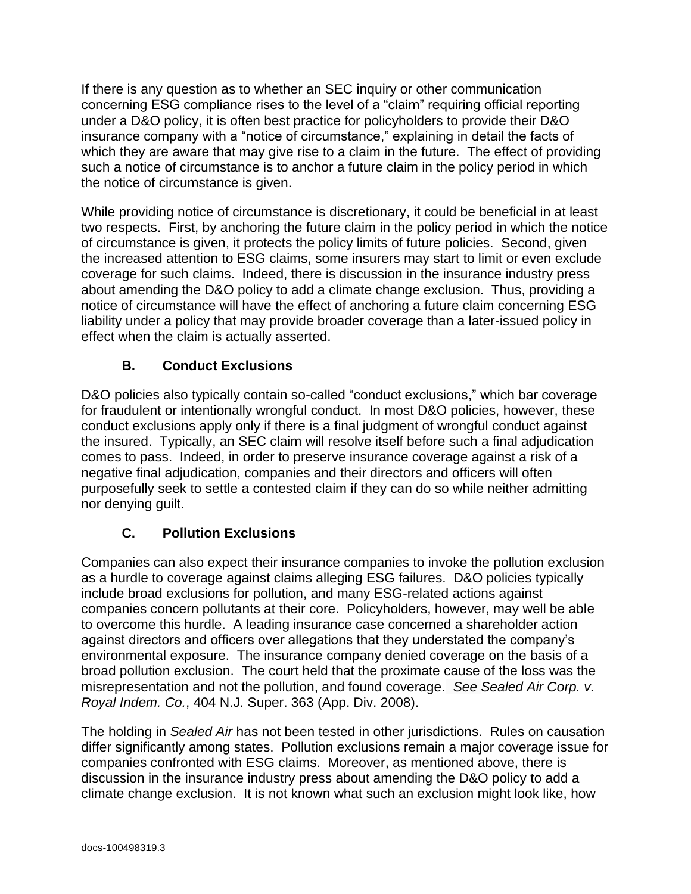If there is any question as to whether an SEC inquiry or other communication concerning ESG compliance rises to the level of a "claim" requiring official reporting under a D&O policy, it is often best practice for policyholders to provide their D&O insurance company with a "notice of circumstance," explaining in detail the facts of which they are aware that may give rise to a claim in the future. The effect of providing such a notice of circumstance is to anchor a future claim in the policy period in which the notice of circumstance is given.

While providing notice of circumstance is discretionary, it could be beneficial in at least two respects. First, by anchoring the future claim in the policy period in which the notice of circumstance is given, it protects the policy limits of future policies. Second, given the increased attention to ESG claims, some insurers may start to limit or even exclude coverage for such claims. Indeed, there is discussion in the insurance industry press about amending the D&O policy to add a climate change exclusion. Thus, providing a notice of circumstance will have the effect of anchoring a future claim concerning ESG liability under a policy that may provide broader coverage than a later-issued policy in effect when the claim is actually asserted.

# **B. Conduct Exclusions**

D&O policies also typically contain so-called "conduct exclusions," which bar coverage for fraudulent or intentionally wrongful conduct. In most D&O policies, however, these conduct exclusions apply only if there is a final judgment of wrongful conduct against the insured. Typically, an SEC claim will resolve itself before such a final adjudication comes to pass. Indeed, in order to preserve insurance coverage against a risk of a negative final adjudication, companies and their directors and officers will often purposefully seek to settle a contested claim if they can do so while neither admitting nor denying guilt.

# **C. Pollution Exclusions**

Companies can also expect their insurance companies to invoke the pollution exclusion as a hurdle to coverage against claims alleging ESG failures. D&O policies typically include broad exclusions for pollution, and many ESG-related actions against companies concern pollutants at their core. Policyholders, however, may well be able to overcome this hurdle. A leading insurance case concerned a shareholder action against directors and officers over allegations that they understated the company's environmental exposure. The insurance company denied coverage on the basis of a broad pollution exclusion. The court held that the proximate cause of the loss was the misrepresentation and not the pollution, and found coverage. *See Sealed Air Corp. v. Royal Indem. Co.*, 404 N.J. Super. 363 (App. Div. 2008).

The holding in *Sealed Air* has not been tested in other jurisdictions. Rules on causation differ significantly among states. Pollution exclusions remain a major coverage issue for companies confronted with ESG claims. Moreover, as mentioned above, there is discussion in the insurance industry press about amending the D&O policy to add a climate change exclusion. It is not known what such an exclusion might look like, how